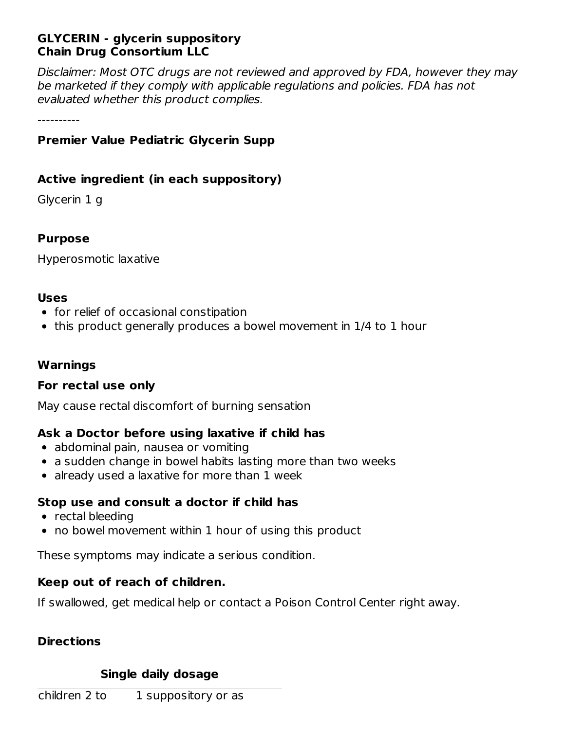## **GLYCERIN - glycerin suppository Chain Drug Consortium LLC**

Disclaimer: Most OTC drugs are not reviewed and approved by FDA, however they may be marketed if they comply with applicable regulations and policies. FDA has not evaluated whether this product complies.

----------

# **Premier Value Pediatric Glycerin Supp**

# **Active ingredient (in each suppository)**

Glycerin 1 g

### **Purpose**

Hyperosmotic laxative

#### **Uses**

- for relief of occasional constipation
- this product generally produces a bowel movement in 1/4 to 1 hour

### **Warnings**

### **For rectal use only**

May cause rectal discomfort of burning sensation

# **Ask a Doctor before using laxative if child has**

- abdominal pain, nausea or vomiting
- a sudden change in bowel habits lasting more than two weeks
- already used a laxative for more than 1 week

### **Stop use and consult a doctor if child has**

- rectal bleeding
- no bowel movement within 1 hour of using this product

These symptoms may indicate a serious condition.

### **Keep out of reach of children.**

If swallowed, get medical help or contact a Poison Control Center right away.

### **Directions**

### **Single daily dosage**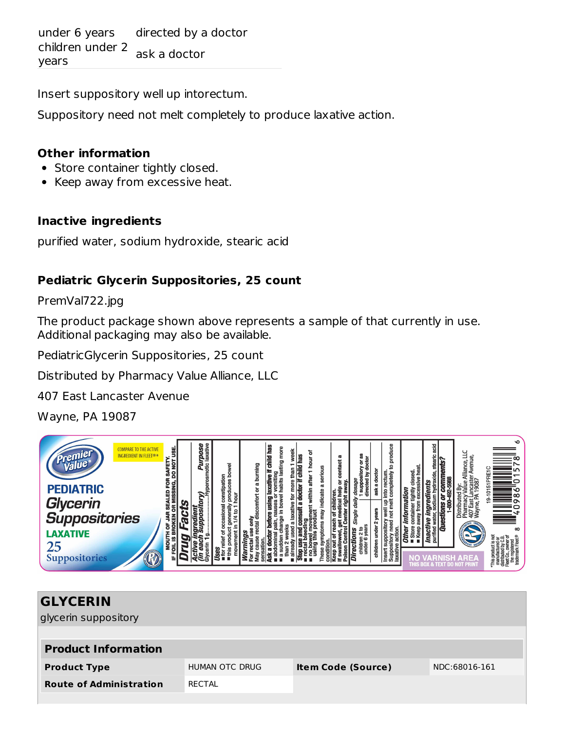under 6 years directed by a doctor children under 2 years ask a doctor

Insert suppository well up intorectum.

Suppository need not melt completely to produce laxative action.

#### **Other information**

- Store container tightly closed.
- Keep away from excessive heat.

### **Inactive ingredients**

purified water, sodium hydroxide, stearic acid

# **Pediatric Glycerin Suppositories, 25 count**

PremVal722.jpg

The product package shown above represents a sample of that currently in use. Additional packaging may also be available.

PediatricGlycerin Suppositories, 25 count

Distributed by Pharmacy Value Alliance, LLC

407 East Lancaster Avenue

Wayne, PA 19087



| <b>GLYCERIN</b>                |                       |                           |               |  |  |  |  |
|--------------------------------|-----------------------|---------------------------|---------------|--|--|--|--|
| glycerin suppository           |                       |                           |               |  |  |  |  |
|                                |                       |                           |               |  |  |  |  |
| <b>Product Information</b>     |                       |                           |               |  |  |  |  |
| <b>Product Type</b>            | <b>HUMAN OTC DRUG</b> | <b>Item Code (Source)</b> | NDC:68016-161 |  |  |  |  |
| <b>Route of Administration</b> | RECTAL                |                           |               |  |  |  |  |
|                                |                       |                           |               |  |  |  |  |